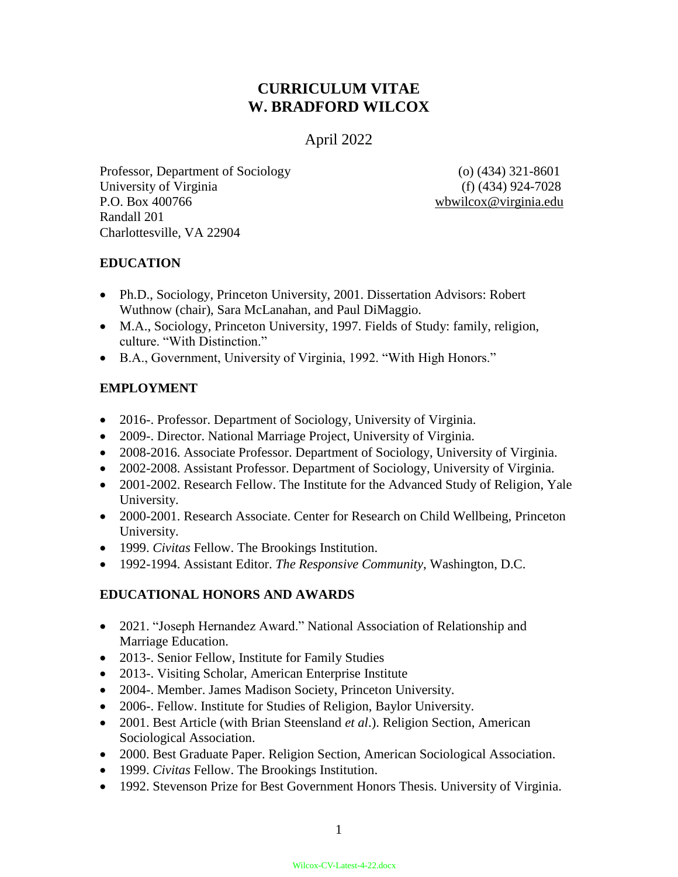# **CURRICULUM VITAE W. BRADFORD WILCOX**

## April 2022

Professor, Department of Sociology (o) (434) 321-8601 University of Virginia (f) (434) 924-7028 P.O. Box 400766 wbwilcox@virginia.edu Randall 201 Charlottesville, VA 22904

## **EDUCATION**

- Ph.D., Sociology, Princeton University, 2001. Dissertation Advisors: Robert Wuthnow (chair), Sara McLanahan, and Paul DiMaggio.
- M.A., Sociology, Princeton University, 1997. Fields of Study: family, religion, culture. "With Distinction."
- B.A., Government, University of Virginia, 1992. "With High Honors."

## **EMPLOYMENT**

- 2016-. Professor. Department of Sociology, University of Virginia.
- 2009-. Director. National Marriage Project, University of Virginia.
- 2008-2016. Associate Professor. Department of Sociology, University of Virginia.
- 2002-2008. Assistant Professor. Department of Sociology, University of Virginia.
- 2001-2002. Research Fellow. The Institute for the Advanced Study of Religion, Yale University.
- 2000-2001. Research Associate. Center for Research on Child Wellbeing, Princeton University.
- 1999. *Civitas* Fellow. The Brookings Institution.
- 1992-1994. Assistant Editor. *The Responsive Community*, Washington, D.C.

## **EDUCATIONAL HONORS AND AWARDS**

- 2021. "Joseph Hernandez Award." National Association of Relationship and Marriage Education.
- 2013-. Senior Fellow, Institute for Family Studies
- 2013-. Visiting Scholar, American Enterprise Institute
- 2004-. Member. James Madison Society, Princeton University.
- 2006-. Fellow. Institute for Studies of Religion, Baylor University.
- 2001. Best Article (with Brian Steensland *et al*.). Religion Section, American Sociological Association.
- 2000. Best Graduate Paper. Religion Section, American Sociological Association.
- 1999. *Civitas* Fellow. The Brookings Institution.
- 1992. Stevenson Prize for Best Government Honors Thesis. University of Virginia.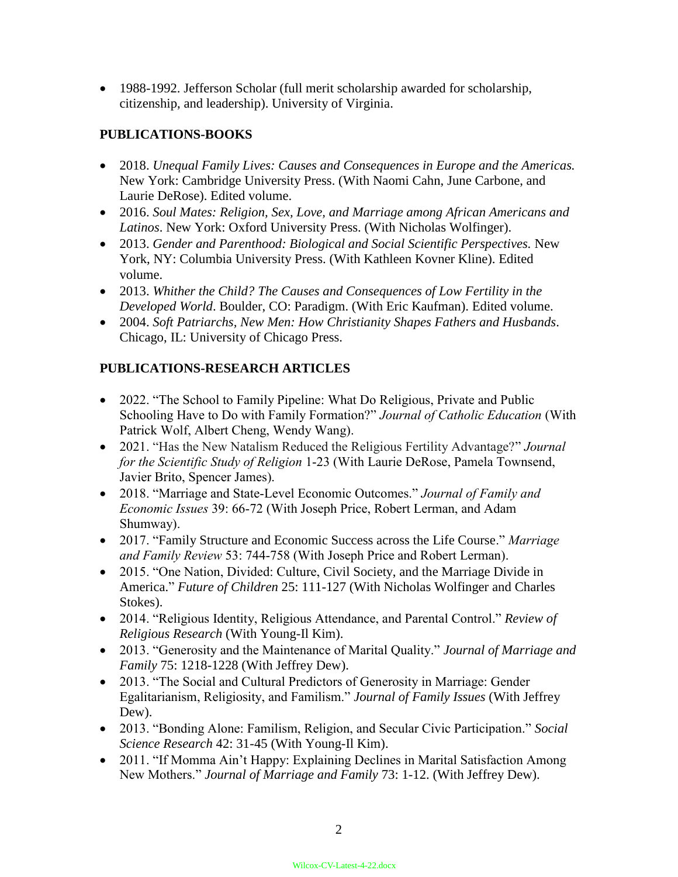1988-1992. Jefferson Scholar (full merit scholarship awarded for scholarship, citizenship, and leadership). University of Virginia.

## **PUBLICATIONS-BOOKS**

- 2018. *Unequal Family Lives: Causes and Consequences in Europe and the Americas.*  New York: Cambridge University Press. (With Naomi Cahn, June Carbone, and Laurie DeRose). Edited volume.
- 2016. *Soul Mates: Religion, Sex, Love, and Marriage among African Americans and Latinos*. New York: Oxford University Press. (With Nicholas Wolfinger).
- 2013. *Gender and Parenthood: Biological and Social Scientific Perspectives.* New York, NY: Columbia University Press. (With Kathleen Kovner Kline). Edited volume.
- 2013. *Whither the Child? The Causes and Consequences of Low Fertility in the Developed World*. Boulder, CO: Paradigm. (With Eric Kaufman). Edited volume.
- 2004. *Soft Patriarchs, New Men: How Christianity Shapes Fathers and Husbands*. Chicago, IL: University of Chicago Press.

## **PUBLICATIONS-RESEARCH ARTICLES**

- 2022. "The School to Family Pipeline: What Do Religious, Private and Public Schooling Have to Do with Family Formation?" *Journal of Catholic Education* (With Patrick Wolf, Albert Cheng, Wendy Wang).
- 2021. "Has the New Natalism Reduced the Religious Fertility Advantage?" *Journal for the Scientific Study of Religion* 1-23 (With Laurie DeRose, Pamela Townsend, Javier Brito, Spencer James).
- 2018. "Marriage and State-Level Economic Outcomes." *Journal of Family and Economic Issues* 39: 66-72 (With Joseph Price, Robert Lerman, and Adam Shumway).
- 2017. "Family Structure and Economic Success across the Life Course." *Marriage and Family Review* 53: 744-758 (With Joseph Price and Robert Lerman).
- 2015. "One Nation, Divided: Culture, Civil Society, and the Marriage Divide in America." *Future of Children* 25: 111-127 (With Nicholas Wolfinger and Charles Stokes).
- 2014. "Religious Identity, Religious Attendance, and Parental Control." *Review of Religious Research* (With Young-Il Kim).
- 2013. "Generosity and the Maintenance of Marital Quality." *Journal of Marriage and Family* 75: 1218-1228 (With Jeffrey Dew).
- 2013. "The Social and Cultural Predictors of Generosity in Marriage: Gender Egalitarianism, Religiosity, and Familism." *Journal of Family Issues* (With Jeffrey Dew).
- 2013. "Bonding Alone: Familism, Religion, and Secular Civic Participation." *Social Science Research* 42: 31-45 (With Young-Il Kim).
- 2011. "If Momma Ain't Happy: Explaining Declines in Marital Satisfaction Among New Mothers." *Journal of Marriage and Family* 73: 1-12. (With Jeffrey Dew).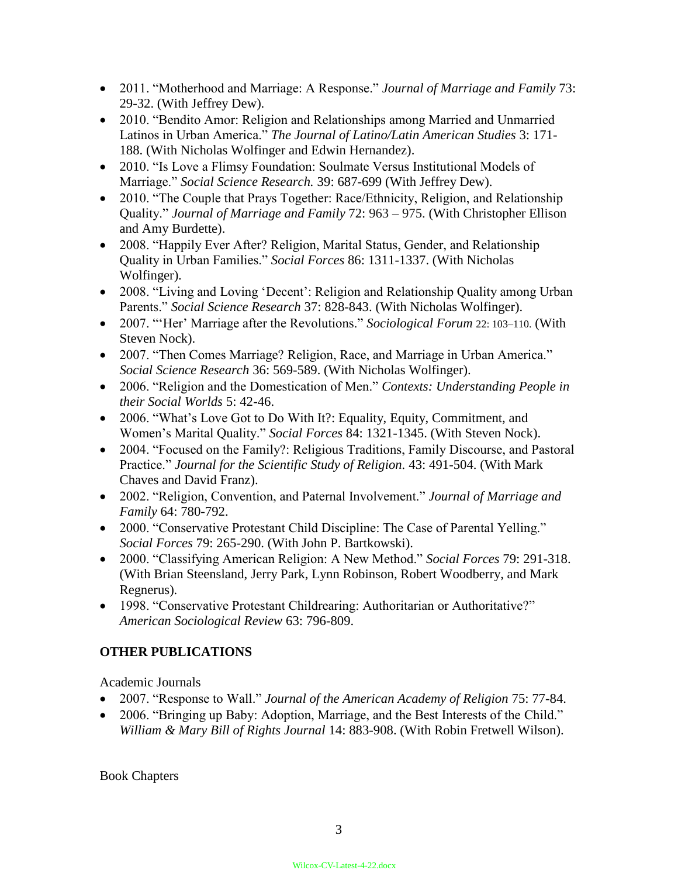- 2011. "Motherhood and Marriage: A Response." *Journal of Marriage and Family* 73: 29-32. (With Jeffrey Dew).
- 2010. "Bendito Amor: Religion and Relationships among Married and Unmarried Latinos in Urban America." *The Journal of Latino/Latin American Studies* 3: 171- 188. (With Nicholas Wolfinger and Edwin Hernandez).
- 2010. "Is Love a Flimsy Foundation: Soulmate Versus Institutional Models of Marriage." *Social Science Research.* 39: 687-699 (With Jeffrey Dew).
- 2010. "The Couple that Prays Together: Race/Ethnicity, Religion, and Relationship Quality." *Journal of Marriage and Family* 72: 963 – 975. (With Christopher Ellison and Amy Burdette).
- 2008. "Happily Ever After? Religion, Marital Status, Gender, and Relationship Quality in Urban Families." *Social Forces* 86: 1311-1337. (With Nicholas Wolfinger).
- 2008. "Living and Loving 'Decent': Religion and Relationship Quality among Urban Parents." *Social Science Research* 37: 828-843. (With Nicholas Wolfinger).
- 2007. "'Her' Marriage after the Revolutions." *Sociological Forum* 22: 103–110. (With Steven Nock).
- 2007. "Then Comes Marriage? Religion, Race, and Marriage in Urban America." *Social Science Research* 36: 569-589. (With Nicholas Wolfinger).
- 2006. "Religion and the Domestication of Men." *Contexts: Understanding People in their Social Worlds* 5: 42-46.
- 2006. "What's Love Got to Do With It?: Equality, Equity, Commitment, and Women's Marital Quality." *Social Forces* 84: 1321-1345. (With Steven Nock).
- 2004. "Focused on the Family?: Religious Traditions, Family Discourse, and Pastoral Practice." *Journal for the Scientific Study of Religion.* 43: 491-504. (With Mark Chaves and David Franz).
- 2002. "Religion, Convention, and Paternal Involvement." *Journal of Marriage and Family* 64: 780-792.
- 2000. "Conservative Protestant Child Discipline: The Case of Parental Yelling." *Social Forces* 79: 265-290. (With John P. Bartkowski).
- 2000. "Classifying American Religion: A New Method." *Social Forces* 79: 291-318. (With Brian Steensland, Jerry Park, Lynn Robinson, Robert Woodberry, and Mark Regnerus).
- 1998. "Conservative Protestant Childrearing: Authoritarian or Authoritative?" *American Sociological Review* 63: 796-809.

# **OTHER PUBLICATIONS**

Academic Journals

- 2007. "Response to Wall." *Journal of the American Academy of Religion* 75: 77-84.
- 2006. "Bringing up Baby: Adoption, Marriage, and the Best Interests of the Child." *William & Mary Bill of Rights Journal* 14: 883-908. (With Robin Fretwell Wilson).

Book Chapters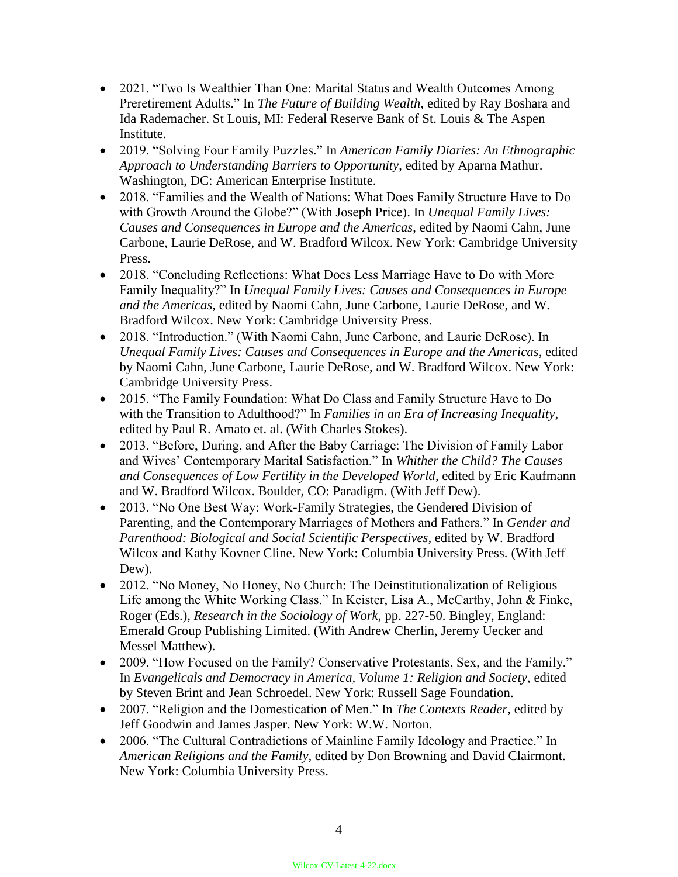- 2021. "Two Is Wealthier Than One: Marital Status and Wealth Outcomes Among Preretirement Adults." In *The Future of Building Wealth*, edited by Ray Boshara and Ida Rademacher. St Louis, MI: Federal Reserve Bank of St. Louis & The Aspen Institute.
- 2019. "Solving Four Family Puzzles." In *American Family Diaries: An Ethnographic Approach to Understanding Barriers to Opportunity*, edited by Aparna Mathur. Washington, DC: American Enterprise Institute.
- 2018. "Families and the Wealth of Nations: What Does Family Structure Have to Do with Growth Around the Globe?" (With Joseph Price). In *Unequal Family Lives: Causes and Consequences in Europe and the Americas*, edited by Naomi Cahn, June Carbone, Laurie DeRose, and W. Bradford Wilcox. New York: Cambridge University Press.
- 2018. "Concluding Reflections: What Does Less Marriage Have to Do with More Family Inequality?" In *Unequal Family Lives: Causes and Consequences in Europe and the Americas*, edited by Naomi Cahn, June Carbone, Laurie DeRose, and W. Bradford Wilcox. New York: Cambridge University Press.
- 2018. "Introduction." (With Naomi Cahn, June Carbone, and Laurie DeRose). In *Unequal Family Lives: Causes and Consequences in Europe and the Americas*, edited by Naomi Cahn, June Carbone, Laurie DeRose, and W. Bradford Wilcox. New York: Cambridge University Press.
- 2015. "The Family Foundation: What Do Class and Family Structure Have to Do with the Transition to Adulthood?" In *Families in an Era of Increasing Inequality*, edited by Paul R. Amato et. al. (With Charles Stokes).
- 2013. "Before, During, and After the Baby Carriage: The Division of Family Labor and Wives' Contemporary Marital Satisfaction." In *Whither the Child? The Causes and Consequences of Low Fertility in the Developed World*, edited by Eric Kaufmann and W. Bradford Wilcox. Boulder, CO: Paradigm. (With Jeff Dew).
- 2013. "No One Best Way: Work-Family Strategies, the Gendered Division of Parenting, and the Contemporary Marriages of Mothers and Fathers." In *Gender and Parenthood: Biological and Social Scientific Perspectives*, edited by W. Bradford Wilcox and Kathy Kovner Cline. New York: Columbia University Press. (With Jeff Dew).
- 2012. "No Money, No Honey, No Church: The Deinstitutionalization of Religious Life among the White Working Class." In Keister, Lisa A., McCarthy, John & Finke, Roger (Eds.), *Research in the Sociology of Work,* pp. 227-50. Bingley, England: Emerald Group Publishing Limited. (With Andrew Cherlin, Jeremy Uecker and Messel Matthew).
- 2009. "How Focused on the Family? Conservative Protestants, Sex, and the Family." In *Evangelicals and Democracy in America, Volume 1: Religion and Society*, edited by Steven Brint and Jean Schroedel. New York: Russell Sage Foundation.
- 2007. "Religion and the Domestication of Men." In *The Contexts Reader*, edited by Jeff Goodwin and James Jasper. New York: W.W. Norton.
- 2006. "The Cultural Contradictions of Mainline Family Ideology and Practice." In *American Religions and the Family,* edited by Don Browning and David Clairmont. New York: Columbia University Press.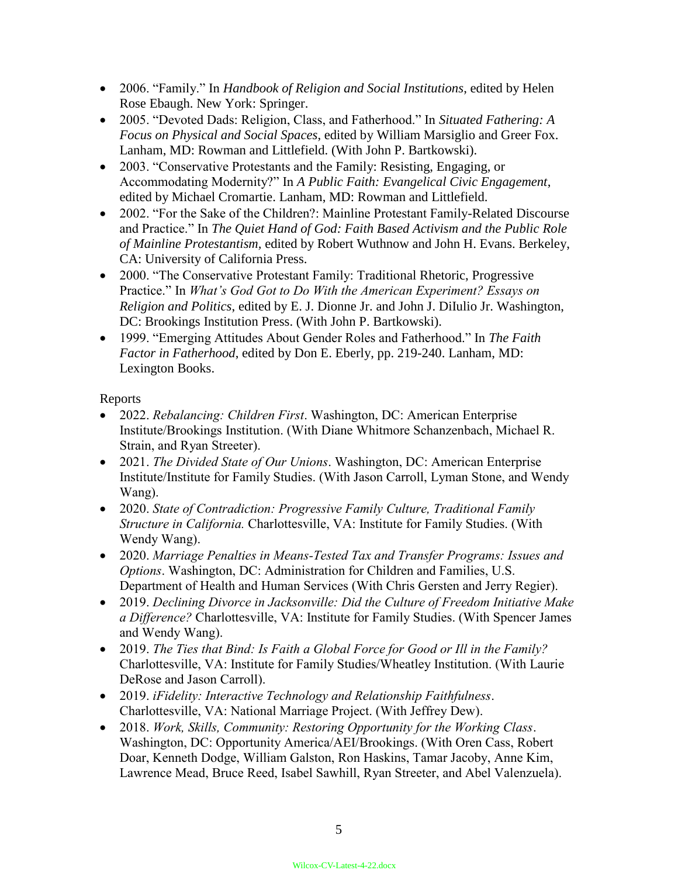- 2006. "Family." In *Handbook of Religion and Social Institutions*, edited by Helen Rose Ebaugh. New York: Springer.
- 2005. "Devoted Dads: Religion, Class, and Fatherhood." In *Situated Fathering: A Focus on Physical and Social Spaces*, edited by William Marsiglio and Greer Fox. Lanham, MD: Rowman and Littlefield. (With John P. Bartkowski).
- 2003. "Conservative Protestants and the Family: Resisting, Engaging, or Accommodating Modernity?" In *A Public Faith: Evangelical Civic Engagement*, edited by Michael Cromartie. Lanham, MD: Rowman and Littlefield.
- 2002. "For the Sake of the Children?: Mainline Protestant Family-Related Discourse and Practice." In *The Quiet Hand of God: Faith Based Activism and the Public Role of Mainline Protestantism,* edited by Robert Wuthnow and John H. Evans. Berkeley, CA: University of California Press.
- 2000. "The Conservative Protestant Family: Traditional Rhetoric, Progressive Practice." In *What's God Got to Do With the American Experiment? Essays on Religion and Politics*, edited by E. J. Dionne Jr. and John J. DiIulio Jr. Washington, DC: Brookings Institution Press. (With John P. Bartkowski).
- 1999. "Emerging Attitudes About Gender Roles and Fatherhood." In *The Faith Factor in Fatherhood*, edited by Don E. Eberly, pp. 219-240. Lanham, MD: Lexington Books.

Reports

- 2022. *Rebalancing: Children First*. Washington, DC: American Enterprise Institute/Brookings Institution. (With Diane Whitmore Schanzenbach, Michael R. Strain, and Ryan Streeter).
- 2021. *The Divided State of Our Unions*. Washington, DC: American Enterprise Institute/Institute for Family Studies. (With Jason Carroll, Lyman Stone, and Wendy Wang).
- 2020. *State of Contradiction: Progressive Family Culture, Traditional Family Structure in California.* Charlottesville, VA: Institute for Family Studies. (With Wendy Wang).
- 2020. *Marriage Penalties in Means-Tested Tax and Transfer Programs: Issues and Options*. Washington, DC: Administration for Children and Families, U.S. Department of Health and Human Services (With Chris Gersten and Jerry Regier).
- 2019. *Declining Divorce in Jacksonville: Did the Culture of Freedom Initiative Make a Difference?* Charlottesville, VA: Institute for Family Studies. (With Spencer James and Wendy Wang).
- 2019. *The Ties that Bind: Is Faith a Global Force for Good or Ill in the Family?* Charlottesville, VA: Institute for Family Studies/Wheatley Institution. (With Laurie DeRose and Jason Carroll).
- 2019. *iFidelity: Interactive Technology and Relationship Faithfulness*. Charlottesville, VA: National Marriage Project. (With Jeffrey Dew).
- 2018. *Work, Skills, Community: Restoring Opportunity for the Working Class*. Washington, DC: Opportunity America/AEI/Brookings. (With Oren Cass, Robert Doar, Kenneth Dodge, William Galston, Ron Haskins, Tamar Jacoby, Anne Kim, Lawrence Mead, Bruce Reed, Isabel Sawhill, Ryan Streeter, and Abel Valenzuela).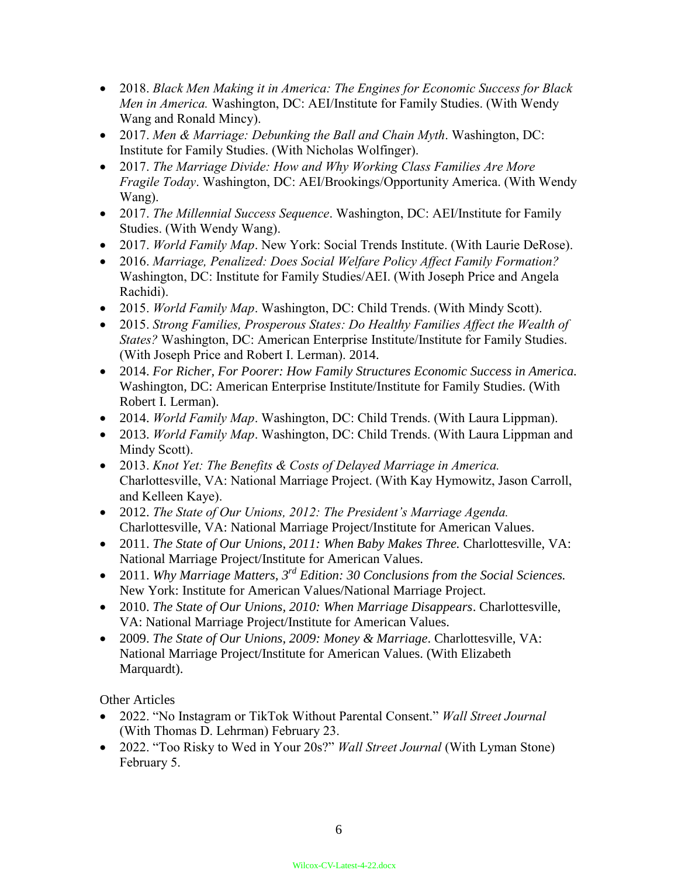- 2018. *Black Men Making it in America: The Engines for Economic Success for Black Men in America.* Washington, DC: AEI/Institute for Family Studies. (With Wendy Wang and Ronald Mincy).
- 2017. *Men & Marriage: Debunking the Ball and Chain Myth*. Washington, DC: Institute for Family Studies. (With Nicholas Wolfinger).
- 2017. *The Marriage Divide: How and Why Working Class Families Are More Fragile Today*. Washington, DC: AEI/Brookings/Opportunity America. (With Wendy Wang).
- 2017. *The Millennial Success Sequence*. Washington, DC: AEI/Institute for Family Studies. (With Wendy Wang).
- 2017. *World Family Map*. New York: Social Trends Institute. (With Laurie DeRose).
- 2016. *Marriage, Penalized: Does Social Welfare Policy Affect Family Formation?*  Washington, DC: Institute for Family Studies/AEI. (With Joseph Price and Angela Rachidi).
- 2015. *World Family Map*. Washington, DC: Child Trends. (With Mindy Scott).
- 2015. *Strong Families, Prosperous States: Do Healthy Families Affect the Wealth of States?* Washington, DC: American Enterprise Institute/Institute for Family Studies. (With Joseph Price and Robert I. Lerman). 2014.
- 2014. *For Richer, For Poorer: How Family Structures Economic Success in America.* Washington, DC: American Enterprise Institute/Institute for Family Studies. (With Robert I. Lerman).
- 2014. *World Family Map*. Washington, DC: Child Trends. (With Laura Lippman).
- 2013. *World Family Map*. Washington, DC: Child Trends. (With Laura Lippman and Mindy Scott).
- 2013. *Knot Yet: The Benefits & Costs of Delayed Marriage in America.*  Charlottesville, VA: National Marriage Project. (With Kay Hymowitz, Jason Carroll, and Kelleen Kaye).
- 2012. *The State of Our Unions, 2012: The President's Marriage Agenda.* Charlottesville, VA: National Marriage Project/Institute for American Values.
- 2011. *The State of Our Unions, 2011: When Baby Makes Three.* Charlottesville, VA: National Marriage Project/Institute for American Values.
- 2011. *Why Marriage Matters, 3rd Edition: 30 Conclusions from the Social Sciences.* New York: Institute for American Values/National Marriage Project.
- 2010. *The State of Our Unions, 2010: When Marriage Disappears*. Charlottesville, VA: National Marriage Project/Institute for American Values.
- 2009. *The State of Our Unions, 2009: Money & Marriage*. Charlottesville, VA: National Marriage Project/Institute for American Values. (With Elizabeth Marquardt).

Other Articles

- 2022. "No Instagram or TikTok Without Parental Consent." *Wall Street Journal* (With Thomas D. Lehrman) February 23.
- 2022. "Too Risky to Wed in Your 20s?" *Wall Street Journal* (With Lyman Stone) February 5.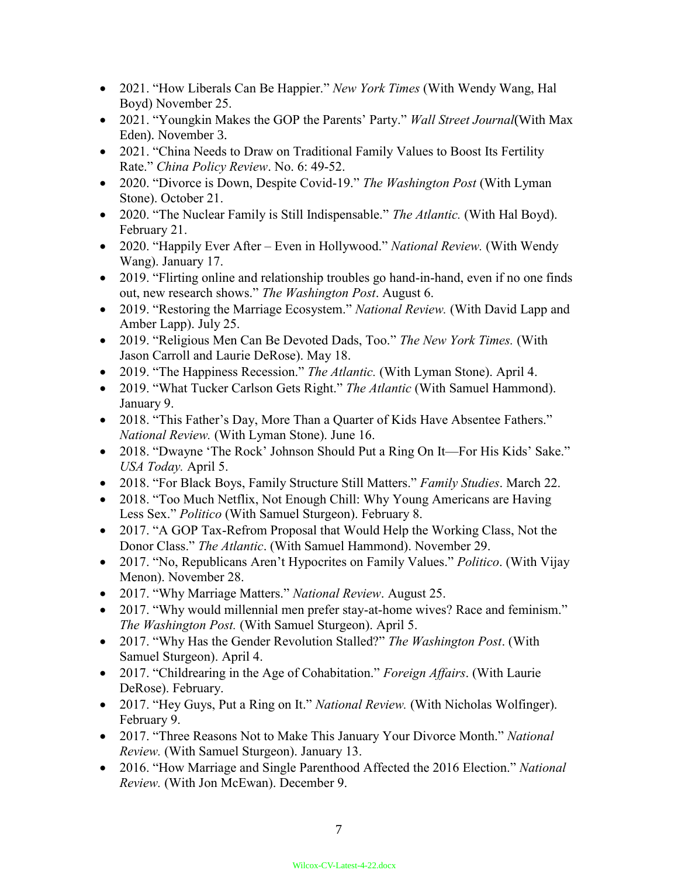- 2021. "How Liberals Can Be Happier." *New York Times* (With Wendy Wang, Hal Boyd) November 25.
- 2021. "Youngkin Makes the GOP the Parents' Party." *Wall Street Journal*(With Max Eden). November 3.
- 2021. "China Needs to Draw on Traditional Family Values to Boost Its Fertility Rate." *China Policy Review*. No. 6: 49-52.
- 2020. "Divorce is Down, Despite Covid-19." *The Washington Post* (With Lyman Stone). October 21.
- 2020. "The Nuclear Family is Still Indispensable." *The Atlantic.* (With Hal Boyd). February 21.
- 2020. "Happily Ever After Even in Hollywood." *National Review.* (With Wendy Wang). January 17.
- 2019. "Flirting online and relationship troubles go hand-in-hand, even if no one finds out, new research shows." *The Washington Post*. August 6.
- 2019. "Restoring the Marriage Ecosystem." *National Review.* (With David Lapp and Amber Lapp). July 25.
- 2019. "Religious Men Can Be Devoted Dads, Too." *The New York Times.* (With Jason Carroll and Laurie DeRose). May 18.
- 2019. "The Happiness Recession." *The Atlantic.* (With Lyman Stone). April 4.
- 2019. "What Tucker Carlson Gets Right." *The Atlantic* (With Samuel Hammond). January 9.
- 2018. "This Father's Day, More Than a Quarter of Kids Have Absentee Fathers." *National Review.* (With Lyman Stone). June 16.
- 2018. "Dwayne 'The Rock' Johnson Should Put a Ring On It—For His Kids' Sake." *USA Today.* April 5.
- 2018. "For Black Boys, Family Structure Still Matters." *Family Studies*. March 22.
- 2018. "Too Much Netflix, Not Enough Chill: Why Young Americans are Having Less Sex." *Politico* (With Samuel Sturgeon). February 8.
- 2017. "A GOP Tax-Refrom Proposal that Would Help the Working Class, Not the Donor Class." *The Atlantic*. (With Samuel Hammond). November 29.
- 2017. "No, Republicans Aren't Hypocrites on Family Values." *Politico*. (With Vijay Menon). November 28.
- 2017. "Why Marriage Matters." *National Review*. August 25.
- 2017. "Why would millennial men prefer stay-at-home wives? Race and feminism." *The Washington Post.* (With Samuel Sturgeon). April 5.
- 2017. "Why Has the Gender Revolution Stalled?" *The Washington Post*. (With Samuel Sturgeon). April 4.
- 2017. "Childrearing in the Age of Cohabitation." *Foreign Affairs*. (With Laurie DeRose). February.
- 2017. "Hey Guys, Put a Ring on It." *National Review.* (With Nicholas Wolfinger). February 9.
- 2017. "Three Reasons Not to Make This January Your Divorce Month." *National Review.* (With Samuel Sturgeon). January 13.
- 2016. "How Marriage and Single Parenthood Affected the 2016 Election." *National Review.* (With Jon McEwan). December 9.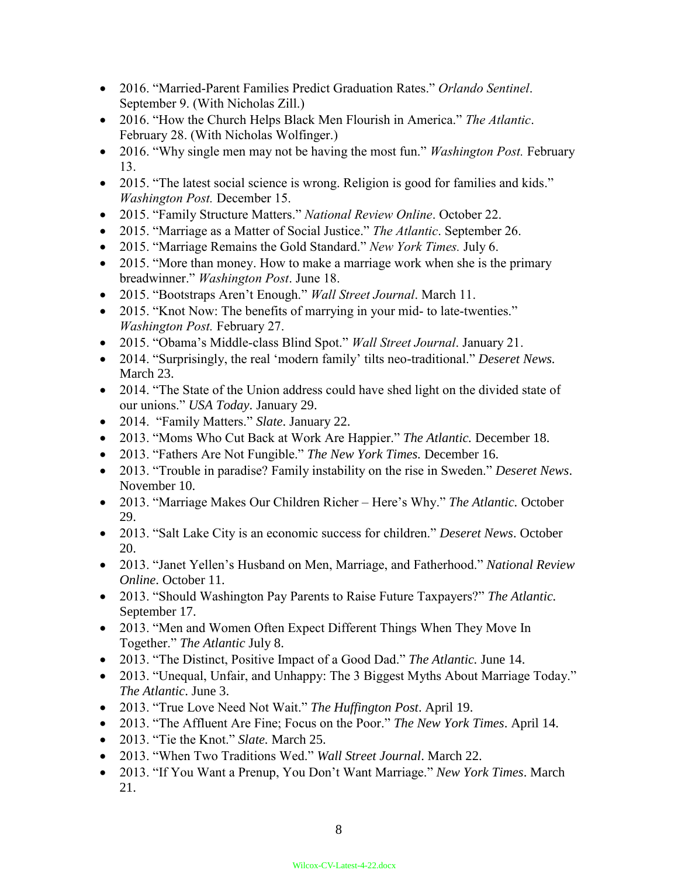- 2016. "Married-Parent Families Predict Graduation Rates." *Orlando Sentinel*. September 9. (With Nicholas Zill.)
- 2016. "How the Church Helps Black Men Flourish in America." *The Atlantic*. February 28. (With Nicholas Wolfinger.)
- 2016. "Why single men may not be having the most fun." *Washington Post.* February 13.
- 2015. "The latest social science is wrong. Religion is good for families and kids." *Washington Post.* December 15.
- 2015. "Family Structure Matters." *National Review Online*. October 22.
- 2015. "Marriage as a Matter of Social Justice." *The Atlantic*. September 26.
- 2015. "Marriage Remains the Gold Standard." *New York Times.* July 6.
- 2015. "More than money. How to make a marriage work when she is the primary breadwinner." *Washington Post*. June 18.
- 2015. "Bootstraps Aren't Enough." *Wall Street Journal*. March 11.
- 2015. "Knot Now: The benefits of marrying in your mid- to late-twenties." *Washington Post.* February 27.
- 2015. "Obama's Middle-class Blind Spot." *Wall Street Journal*. January 21.
- 2014. "Surprisingly, the real 'modern family' tilts neo-traditional." *Deseret News.*  March 23.
- 2014. "The State of the Union address could have shed light on the divided state of our unions." *USA Today*. January 29.
- 2014. "Family Matters." *Slate*. January 22.
- 2013. "Moms Who Cut Back at Work Are Happier." *The Atlantic.* December 18.
- 2013. "Fathers Are Not Fungible." *The New York Times.* December 16.
- 2013. "Trouble in paradise? Family instability on the rise in Sweden." *Deseret News*. November 10.
- 2013. "Marriage Makes Our Children Richer Here's Why." *The Atlantic.* October 29.
- 2013. "Salt Lake City is an economic success for children." *Deseret News*. October 20.
- 2013. "Janet Yellen's Husband on Men, Marriage, and Fatherhood." *National Review Online*. October 11.
- 2013. "Should Washington Pay Parents to Raise Future Taxpayers?" *The Atlantic.*  September 17.
- 2013. "Men and Women Often Expect Different Things When They Move In Together." *The Atlantic* July 8.
- 2013. "The Distinct, Positive Impact of a Good Dad." *The Atlantic.* June 14.
- 2013. "Unequal, Unfair, and Unhappy: The 3 Biggest Myths About Marriage Today." *The Atlantic*. June 3.
- 2013. "True Love Need Not Wait." *The Huffington Post*. April 19.
- 2013. "The Affluent Are Fine; Focus on the Poor." *The New York Times*. April 14.
- 2013. "Tie the Knot." *Slate.* March 25.
- 2013. "When Two Traditions Wed." *Wall Street Journal*. March 22.
- 2013. "If You Want a Prenup, You Don't Want Marriage." *New York Times*. March 21.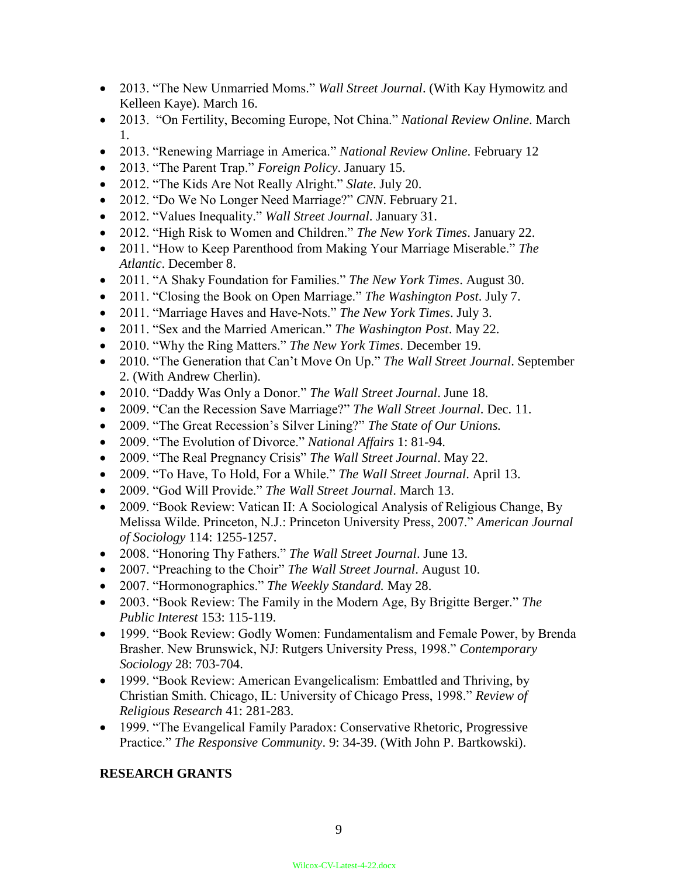- 2013. "The New Unmarried Moms." *Wall Street Journal*. (With Kay Hymowitz and Kelleen Kaye). March 16.
- 2013. "On Fertility, Becoming Europe, Not China." *National Review Online*. March 1.
- 2013. "Renewing Marriage in America." *National Review Online*. February 12
- 2013. "The Parent Trap." *Foreign Policy*. January 15.
- 2012. "The Kids Are Not Really Alright." *Slate*. July 20.
- 2012. "Do We No Longer Need Marriage?" *CNN*. February 21.
- 2012. "Values Inequality." *Wall Street Journal*. January 31.
- 2012. "High Risk to Women and Children." *The New York Times*. January 22.
- 2011. "How to Keep Parenthood from Making Your Marriage Miserable." *The Atlantic*. December 8.
- 2011. "A Shaky Foundation for Families." *The New York Times*. August 30.
- 2011. "Closing the Book on Open Marriage." *The Washington Post*. July 7.
- 2011. "Marriage Haves and Have-Nots." *The New York Times*. July 3.
- 2011. "Sex and the Married American." *The Washington Post*. May 22.
- 2010. "Why the Ring Matters." *The New York Times*. December 19.
- 2010. "The Generation that Can't Move On Up." *The Wall Street Journal*. September 2. (With Andrew Cherlin).
- 2010. "Daddy Was Only a Donor." *The Wall Street Journal*. June 18.
- 2009. "Can the Recession Save Marriage?" *The Wall Street Journal*. Dec. 11.
- 2009. "The Great Recession's Silver Lining?" *The State of Our Unions.*
- 2009. "The Evolution of Divorce." *National Affairs* 1: 81-94.
- 2009. "The Real Pregnancy Crisis" *The Wall Street Journal*. May 22.
- 2009. "To Have, To Hold, For a While." *The Wall Street Journal*. April 13.
- 2009. "God Will Provide." *The Wall Street Journal*. March 13.
- 2009. "Book Review: Vatican II: A Sociological Analysis of Religious Change, By Melissa Wilde. Princeton, N.J.: Princeton University Press, 2007." *American Journal of Sociology* 114: 1255-1257.
- 2008. "Honoring Thy Fathers." *The Wall Street Journal*. June 13.
- 2007. "Preaching to the Choir" *The Wall Street Journal*. August 10.
- 2007. "Hormonographics." *The Weekly Standard.* May 28.
- 2003. "Book Review: The Family in the Modern Age, By Brigitte Berger." *The Public Interest* 153: 115-119.
- 1999. "Book Review: Godly Women: Fundamentalism and Female Power, by Brenda Brasher. New Brunswick, NJ: Rutgers University Press, 1998." *Contemporary Sociology* 28: 703-704.
- 1999. "Book Review: American Evangelicalism: Embattled and Thriving, by Christian Smith. Chicago, IL: University of Chicago Press, 1998." *Review of Religious Research* 41: 281-283.
- 1999. "The Evangelical Family Paradox: Conservative Rhetoric, Progressive Practice." *The Responsive Community*. 9: 34-39. (With John P. Bartkowski).

## **RESEARCH GRANTS**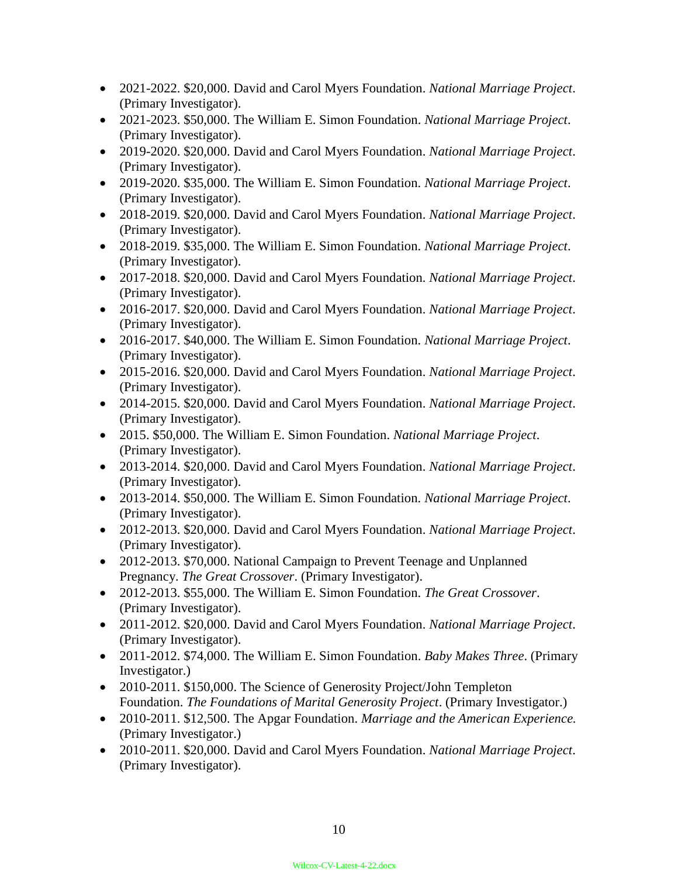- 2021-2022. \$20,000. David and Carol Myers Foundation. *National Marriage Project*. (Primary Investigator).
- 2021-2023. \$50,000. The William E. Simon Foundation. *National Marriage Project*. (Primary Investigator).
- 2019-2020. \$20,000. David and Carol Myers Foundation. *National Marriage Project*. (Primary Investigator).
- 2019-2020. \$35,000. The William E. Simon Foundation. *National Marriage Project*. (Primary Investigator).
- 2018-2019. \$20,000. David and Carol Myers Foundation. *National Marriage Project*. (Primary Investigator).
- 2018-2019. \$35,000. The William E. Simon Foundation. *National Marriage Project*. (Primary Investigator).
- 2017-2018. \$20,000. David and Carol Myers Foundation. *National Marriage Project*. (Primary Investigator).
- 2016-2017. \$20,000. David and Carol Myers Foundation. *National Marriage Project*. (Primary Investigator).
- 2016-2017. \$40,000. The William E. Simon Foundation. *National Marriage Project*. (Primary Investigator).
- 2015-2016. \$20,000. David and Carol Myers Foundation. *National Marriage Project*. (Primary Investigator).
- 2014-2015. \$20,000. David and Carol Myers Foundation. *National Marriage Project*. (Primary Investigator).
- 2015. \$50,000. The William E. Simon Foundation. *National Marriage Project*. (Primary Investigator).
- 2013-2014. \$20,000. David and Carol Myers Foundation. *National Marriage Project*. (Primary Investigator).
- 2013-2014. \$50,000. The William E. Simon Foundation. *National Marriage Project*. (Primary Investigator).
- 2012-2013. \$20,000. David and Carol Myers Foundation. *National Marriage Project*. (Primary Investigator).
- 2012-2013. \$70,000. National Campaign to Prevent Teenage and Unplanned Pregnancy. *The Great Crossover*. (Primary Investigator).
- 2012-2013. \$55,000. The William E. Simon Foundation. *The Great Crossover*. (Primary Investigator).
- 2011-2012. \$20,000. David and Carol Myers Foundation. *National Marriage Project*. (Primary Investigator).
- 2011-2012. \$74,000. The William E. Simon Foundation. *Baby Makes Three*. (Primary Investigator.)
- 2010-2011. \$150,000. The Science of Generosity Project/John Templeton Foundation. *The Foundations of Marital Generosity Project*. (Primary Investigator.)
- 2010-2011. \$12,500. The Apgar Foundation. *Marriage and the American Experience.*  (Primary Investigator.)
- 2010-2011. \$20,000. David and Carol Myers Foundation. *National Marriage Project*. (Primary Investigator).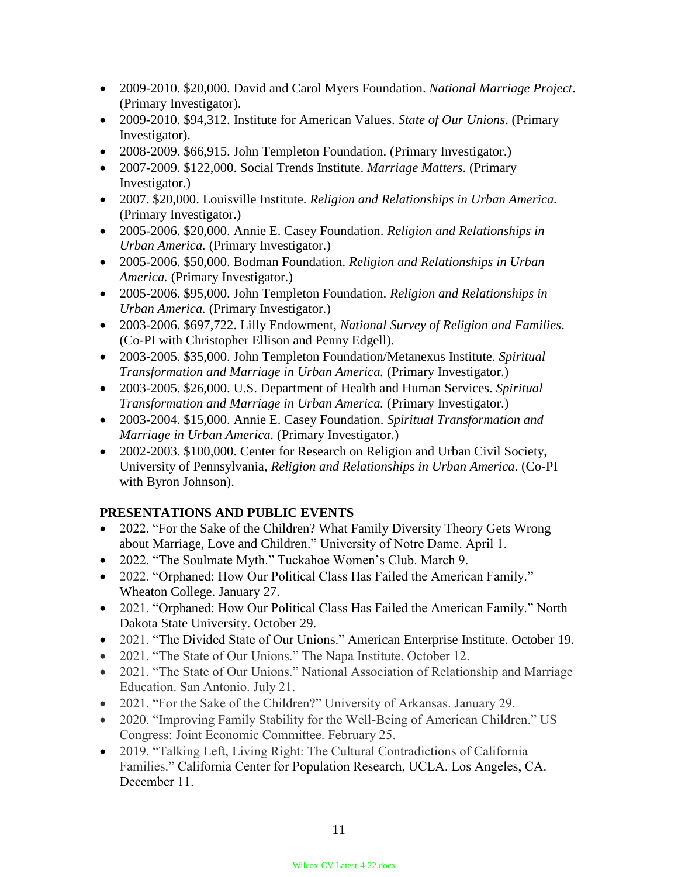- 2009-2010. \$20,000. David and Carol Myers Foundation. *National Marriage Project*. (Primary Investigator).
- 2009-2010. \$94,312. Institute for American Values. *State of Our Unions*. (Primary Investigator).
- 2008-2009. \$66,915. John Templeton Foundation. (Primary Investigator.)
- 2007-2009. \$122,000. Social Trends Institute. *Marriage Matters*. (Primary Investigator.)
- 2007. \$20,000. Louisville Institute. *Religion and Relationships in Urban America.* (Primary Investigator.)
- 2005-2006. \$20,000. Annie E. Casey Foundation. *Religion and Relationships in Urban America.* (Primary Investigator.)
- 2005-2006. \$50,000. Bodman Foundation. *Religion and Relationships in Urban America.* (Primary Investigator.)
- 2005-2006. \$95,000. John Templeton Foundation. *Religion and Relationships in Urban America.* (Primary Investigator.)
- 2003-2006. \$697,722. Lilly Endowment, *National Survey of Religion and Families*. (Co-PI with Christopher Ellison and Penny Edgell).
- 2003-2005. \$35,000. John Templeton Foundation/Metanexus Institute. *Spiritual Transformation and Marriage in Urban America.* (Primary Investigator.)
- 2003-2005. \$26,000. U.S. Department of Health and Human Services. *Spiritual Transformation and Marriage in Urban America.* (Primary Investigator.)
- 2003-2004. \$15,000. Annie E. Casey Foundation. *Spiritual Transformation and Marriage in Urban America.* (Primary Investigator.)
- 2002-2003. \$100,000. Center for Research on Religion and Urban Civil Society, University of Pennsylvania, *Religion and Relationships in Urban America*. (Co-PI with Byron Johnson).

# **PRESENTATIONS AND PUBLIC EVENTS**

- 2022. "For the Sake of the Children? What Family Diversity Theory Gets Wrong about Marriage, Love and Children." University of Notre Dame. April 1.
- 2022. "The Soulmate Myth." Tuckahoe Women's Club. March 9.
- 2022. "Orphaned: How Our Political Class Has Failed the American Family." Wheaton College. January 27.
- 2021. "Orphaned: How Our Political Class Has Failed the American Family." North Dakota State University. October 29.
- 2021. "The Divided State of Our Unions." American Enterprise Institute. October 19.
- 2021. "The State of Our Unions." The Napa Institute. October 12.
- 2021. "The State of Our Unions." National Association of Relationship and Marriage Education. San Antonio. July 21.
- 2021. "For the Sake of the Children?" University of Arkansas. January 29.
- 2020. "Improving Family Stability for the Well-Being of American Children." US Congress: Joint Economic Committee. February 25.
- 2019. "Talking Left, Living Right: The Cultural Contradictions of California Families." California Center for Population Research, UCLA. Los Angeles, CA. December 11.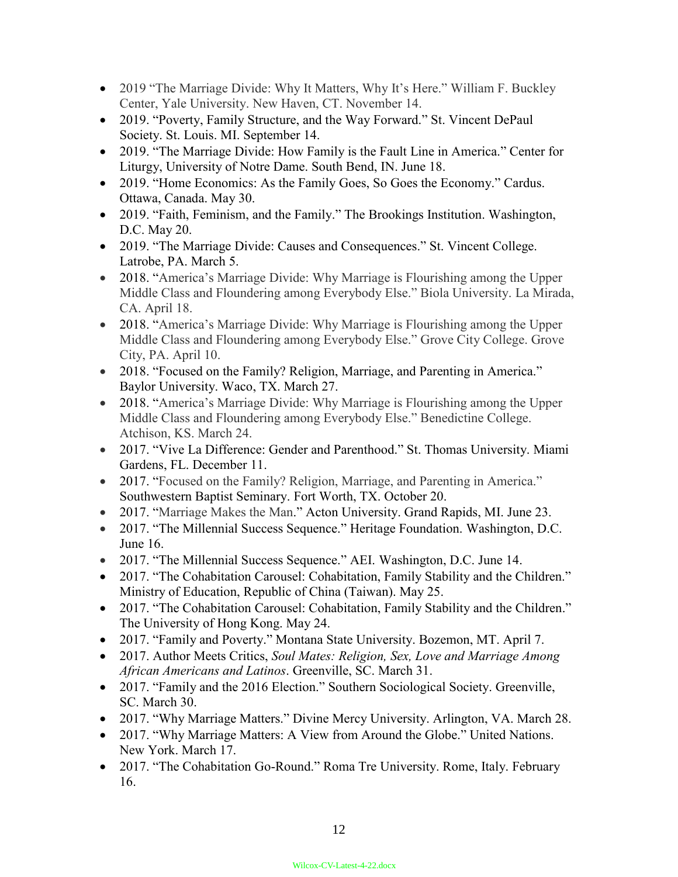- 2019 "The Marriage Divide: Why It Matters, Why It's Here." William F. Buckley Center, Yale University. New Haven, CT. November 14.
- 2019. "Poverty, Family Structure, and the Way Forward." St. Vincent DePaul Society. St. Louis. MI. September 14.
- 2019. "The Marriage Divide: How Family is the Fault Line in America." Center for Liturgy, University of Notre Dame. South Bend, IN. June 18.
- 2019. "Home Economics: As the Family Goes, So Goes the Economy." Cardus. Ottawa, Canada. May 30.
- 2019. "Faith, Feminism, and the Family." The Brookings Institution. Washington, D.C. May 20.
- 2019. "The Marriage Divide: Causes and Consequences." St. Vincent College. Latrobe, PA. March 5.
- 2018. "America's Marriage Divide: Why Marriage is Flourishing among the Upper Middle Class and Floundering among Everybody Else." Biola University. La Mirada, CA. April 18.
- 2018. "America's Marriage Divide: Why Marriage is Flourishing among the Upper Middle Class and Floundering among Everybody Else." Grove City College. Grove City, PA. April 10.
- 2018. "Focused on the Family? Religion, Marriage, and Parenting in America." Baylor University. Waco, TX. March 27.
- 2018. "America's Marriage Divide: Why Marriage is Flourishing among the Upper Middle Class and Floundering among Everybody Else." Benedictine College. Atchison, KS. March 24.
- 2017. "Vive La Difference: Gender and Parenthood." St. Thomas University. Miami Gardens, FL. December 11.
- 2017. "Focused on the Family? Religion, Marriage, and Parenting in America." Southwestern Baptist Seminary. Fort Worth, TX. October 20.
- 2017. "Marriage Makes the Man." Acton University. Grand Rapids, MI. June 23.
- 2017. "The Millennial Success Sequence." Heritage Foundation. Washington, D.C. June 16.
- 2017. "The Millennial Success Sequence." AEI. Washington, D.C. June 14.
- 2017. "The Cohabitation Carousel: Cohabitation, Family Stability and the Children." Ministry of Education, Republic of China (Taiwan). May 25.
- 2017. "The Cohabitation Carousel: Cohabitation, Family Stability and the Children." The University of Hong Kong. May 24.
- 2017. "Family and Poverty." Montana State University. Bozemon, MT. April 7.
- 2017. Author Meets Critics, *Soul Mates: Religion, Sex, Love and Marriage Among African Americans and Latinos*. Greenville, SC. March 31.
- 2017. "Family and the 2016 Election." Southern Sociological Society. Greenville, SC. March 30.
- 2017. "Why Marriage Matters." Divine Mercy University. Arlington, VA. March 28.
- 2017. "Why Marriage Matters: A View from Around the Globe." United Nations. New York. March 17.
- 2017. "The Cohabitation Go-Round." Roma Tre University. Rome, Italy. February 16.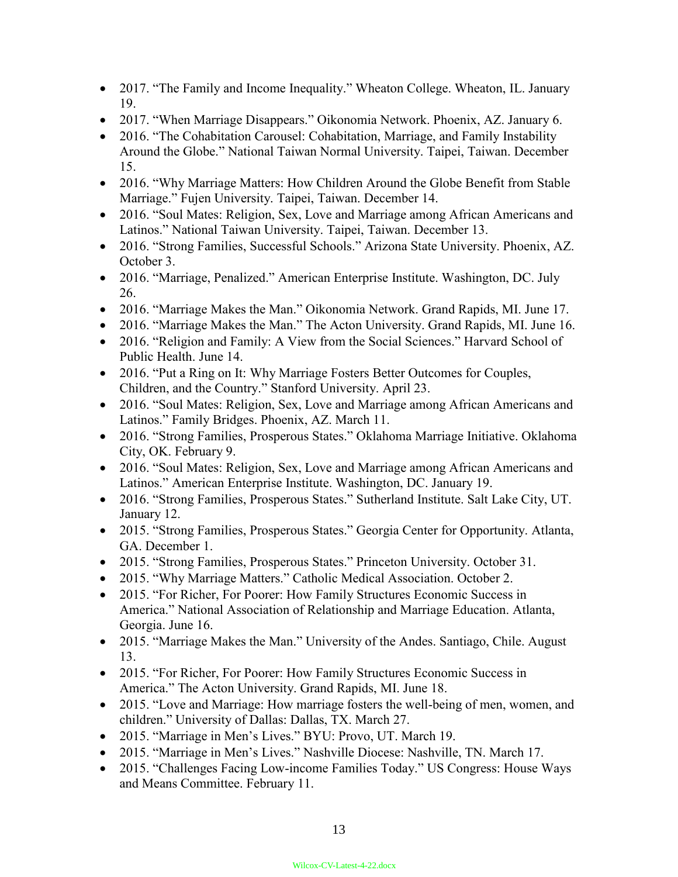- 2017. "The Family and Income Inequality." Wheaton College. Wheaton, IL. January 19.
- 2017. "When Marriage Disappears." Oikonomia Network. Phoenix, AZ. January 6.
- 2016. "The Cohabitation Carousel: Cohabitation, Marriage, and Family Instability Around the Globe." National Taiwan Normal University. Taipei, Taiwan. December 15.
- 2016. "Why Marriage Matters: How Children Around the Globe Benefit from Stable Marriage." Fujen University. Taipei, Taiwan. December 14.
- 2016. "Soul Mates: Religion, Sex, Love and Marriage among African Americans and Latinos." National Taiwan University. Taipei, Taiwan. December 13.
- 2016. "Strong Families, Successful Schools." Arizona State University. Phoenix, AZ. October 3.
- 2016. "Marriage, Penalized." American Enterprise Institute. Washington, DC. July 26.
- 2016. "Marriage Makes the Man." Oikonomia Network. Grand Rapids, MI. June 17.
- 2016. "Marriage Makes the Man." The Acton University. Grand Rapids, MI. June 16.
- 2016. "Religion and Family: A View from the Social Sciences." Harvard School of Public Health. June 14.
- 2016. "Put a Ring on It: Why Marriage Fosters Better Outcomes for Couples, Children, and the Country." Stanford University. April 23.
- 2016. "Soul Mates: Religion, Sex, Love and Marriage among African Americans and Latinos." Family Bridges. Phoenix, AZ. March 11.
- 2016. "Strong Families, Prosperous States." Oklahoma Marriage Initiative. Oklahoma City, OK. February 9.
- 2016. "Soul Mates: Religion, Sex, Love and Marriage among African Americans and Latinos." American Enterprise Institute. Washington, DC. January 19.
- 2016. "Strong Families, Prosperous States." Sutherland Institute. Salt Lake City, UT. January 12.
- 2015. "Strong Families, Prosperous States." Georgia Center for Opportunity. Atlanta, GA. December 1.
- 2015. "Strong Families, Prosperous States." Princeton University. October 31.
- 2015. "Why Marriage Matters." Catholic Medical Association. October 2.
- 2015. "For Richer, For Poorer: How Family Structures Economic Success in America." National Association of Relationship and Marriage Education. Atlanta, Georgia. June 16.
- 2015. "Marriage Makes the Man." University of the Andes. Santiago, Chile. August 13.
- 2015. "For Richer, For Poorer: How Family Structures Economic Success in America." The Acton University. Grand Rapids, MI. June 18.
- 2015. "Love and Marriage: How marriage fosters the well-being of men, women, and children." University of Dallas: Dallas, TX. March 27.
- 2015. "Marriage in Men's Lives." BYU: Provo, UT. March 19.
- 2015. "Marriage in Men's Lives." Nashville Diocese: Nashville, TN. March 17.
- 2015. "Challenges Facing Low-income Families Today." US Congress: House Ways and Means Committee. February 11.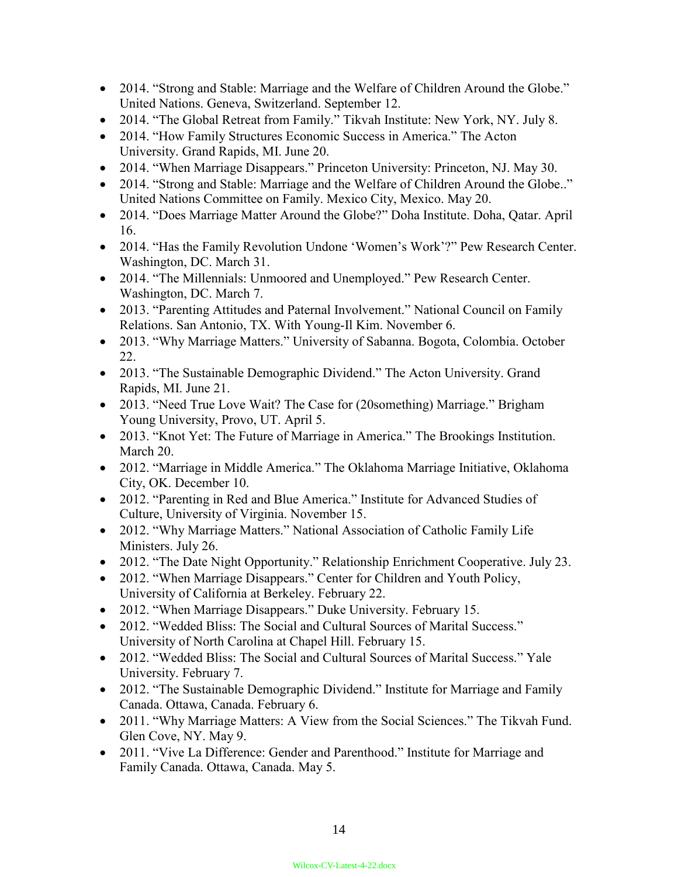- 2014. "Strong and Stable: Marriage and the Welfare of Children Around the Globe." United Nations. Geneva, Switzerland. September 12.
- 2014. "The Global Retreat from Family." Tikvah Institute: New York, NY. July 8.
- 2014. "How Family Structures Economic Success in America." The Acton University. Grand Rapids, MI. June 20.
- 2014. "When Marriage Disappears." Princeton University: Princeton, NJ. May 30.
- 2014. "Strong and Stable: Marriage and the Welfare of Children Around the Globe.." United Nations Committee on Family. Mexico City, Mexico. May 20.
- 2014. "Does Marriage Matter Around the Globe?" Doha Institute. Doha, Qatar. April 16.
- 2014. "Has the Family Revolution Undone 'Women's Work'?" Pew Research Center. Washington, DC. March 31.
- 2014. "The Millennials: Unmoored and Unemployed." Pew Research Center. Washington, DC. March 7.
- 2013. "Parenting Attitudes and Paternal Involvement." National Council on Family Relations. San Antonio, TX. With Young-Il Kim. November 6.
- 2013. "Why Marriage Matters." University of Sabanna. Bogota, Colombia. October 22.
- 2013. "The Sustainable Demographic Dividend." The Acton University. Grand Rapids, MI. June 21.
- 2013. "Need True Love Wait? The Case for (20something) Marriage." Brigham Young University, Provo, UT. April 5.
- 2013. "Knot Yet: The Future of Marriage in America." The Brookings Institution. March 20.
- 2012. "Marriage in Middle America." The Oklahoma Marriage Initiative, Oklahoma City, OK. December 10.
- 2012. "Parenting in Red and Blue America." Institute for Advanced Studies of Culture, University of Virginia. November 15.
- 2012. "Why Marriage Matters." National Association of Catholic Family Life Ministers. July 26.
- 2012. "The Date Night Opportunity." Relationship Enrichment Cooperative. July 23.
- 2012. "When Marriage Disappears." Center for Children and Youth Policy, University of California at Berkeley. February 22.
- 2012. "When Marriage Disappears." Duke University. February 15.
- 2012. "Wedded Bliss: The Social and Cultural Sources of Marital Success." University of North Carolina at Chapel Hill. February 15.
- 2012. "Wedded Bliss: The Social and Cultural Sources of Marital Success." Yale University. February 7.
- 2012. "The Sustainable Demographic Dividend." Institute for Marriage and Family Canada. Ottawa, Canada. February 6.
- 2011. "Why Marriage Matters: A View from the Social Sciences." The Tikvah Fund. Glen Cove, NY. May 9.
- 2011. "Vive La Difference: Gender and Parenthood." Institute for Marriage and Family Canada. Ottawa, Canada. May 5.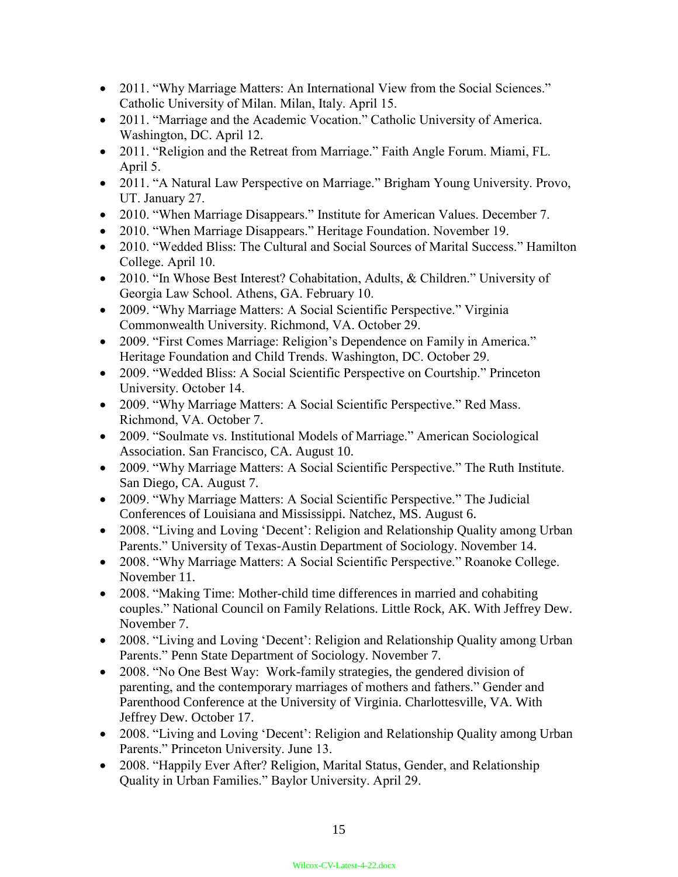- 2011. "Why Marriage Matters: An International View from the Social Sciences." Catholic University of Milan. Milan, Italy. April 15.
- 2011. "Marriage and the Academic Vocation." Catholic University of America. Washington, DC. April 12.
- 2011. "Religion and the Retreat from Marriage." Faith Angle Forum. Miami, FL. April 5.
- 2011. "A Natural Law Perspective on Marriage." Brigham Young University. Provo, UT. January 27.
- 2010. "When Marriage Disappears." Institute for American Values. December 7.
- 2010. "When Marriage Disappears." Heritage Foundation. November 19.
- 2010. "Wedded Bliss: The Cultural and Social Sources of Marital Success." Hamilton College. April 10.
- 2010. "In Whose Best Interest? Cohabitation, Adults, & Children." University of Georgia Law School. Athens, GA. February 10.
- 2009. "Why Marriage Matters: A Social Scientific Perspective." Virginia Commonwealth University. Richmond, VA. October 29.
- 2009. "First Comes Marriage: Religion's Dependence on Family in America." Heritage Foundation and Child Trends. Washington, DC. October 29.
- 2009. "Wedded Bliss: A Social Scientific Perspective on Courtship." Princeton University. October 14.
- 2009. "Why Marriage Matters: A Social Scientific Perspective." Red Mass. Richmond, VA. October 7.
- 2009. "Soulmate vs. Institutional Models of Marriage." American Sociological Association. San Francisco, CA. August 10.
- 2009. "Why Marriage Matters: A Social Scientific Perspective." The Ruth Institute. San Diego, CA. August 7.
- 2009. "Why Marriage Matters: A Social Scientific Perspective." The Judicial Conferences of Louisiana and Mississippi. Natchez, MS. August 6.
- 2008. "Living and Loving 'Decent': Religion and Relationship Quality among Urban Parents." University of Texas-Austin Department of Sociology. November 14.
- 2008. "Why Marriage Matters: A Social Scientific Perspective." Roanoke College. November 11.
- 2008. "Making Time: Mother-child time differences in married and cohabiting couples." National Council on Family Relations. Little Rock, AK. With Jeffrey Dew. November 7.
- 2008. "Living and Loving 'Decent': Religion and Relationship Quality among Urban Parents." Penn State Department of Sociology. November 7.
- 2008. "No One Best Way: Work-family strategies, the gendered division of parenting, and the contemporary marriages of mothers and fathers." Gender and Parenthood Conference at the University of Virginia. Charlottesville, VA. With Jeffrey Dew. October 17.
- 2008. "Living and Loving 'Decent': Religion and Relationship Quality among Urban Parents." Princeton University. June 13.
- 2008. "Happily Ever After? Religion, Marital Status, Gender, and Relationship Quality in Urban Families." Baylor University. April 29.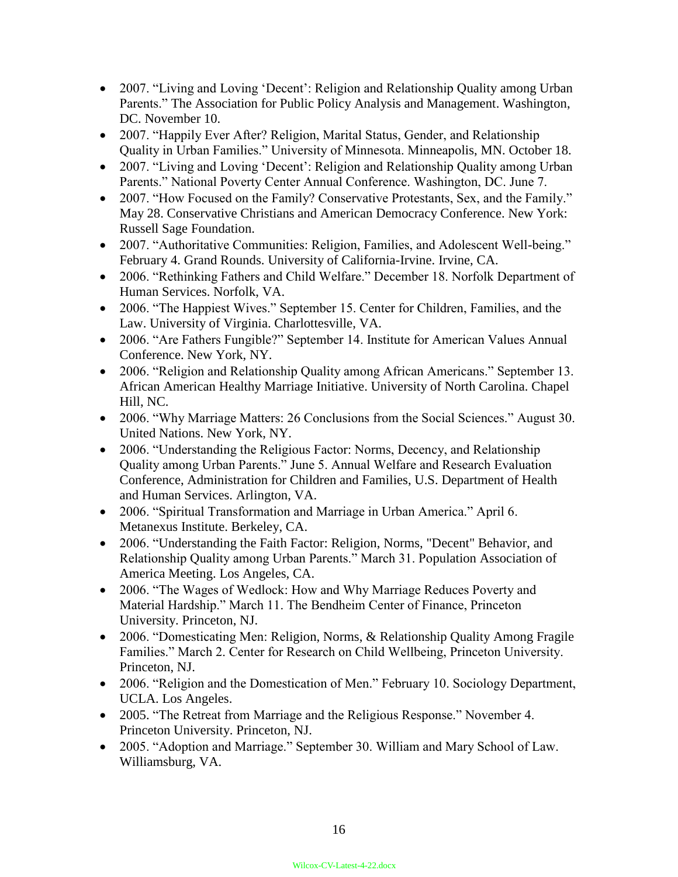- 2007. "Living and Loving 'Decent': Religion and Relationship Quality among Urban Parents." The Association for Public Policy Analysis and Management. Washington, DC. November 10.
- 2007. "Happily Ever After? Religion, Marital Status, Gender, and Relationship Quality in Urban Families." University of Minnesota. Minneapolis, MN. October 18.
- 2007. "Living and Loving 'Decent': Religion and Relationship Quality among Urban Parents." National Poverty Center Annual Conference. Washington, DC. June 7.
- 2007. "How Focused on the Family? Conservative Protestants, Sex, and the Family." May 28. Conservative Christians and American Democracy Conference. New York: Russell Sage Foundation.
- 2007. "Authoritative Communities: Religion, Families, and Adolescent Well-being." February 4. Grand Rounds. University of California-Irvine. Irvine, CA.
- 2006. "Rethinking Fathers and Child Welfare." December 18. Norfolk Department of Human Services. Norfolk, VA.
- 2006. "The Happiest Wives." September 15. Center for Children, Families, and the Law. University of Virginia. Charlottesville, VA.
- 2006. "Are Fathers Fungible?" September 14. Institute for American Values Annual Conference. New York, NY.
- 2006. "Religion and Relationship Quality among African Americans." September 13. African American Healthy Marriage Initiative. University of North Carolina. Chapel Hill, NC.
- 2006. "Why Marriage Matters: 26 Conclusions from the Social Sciences." August 30. United Nations. New York, NY.
- 2006. "Understanding the Religious Factor: Norms, Decency, and Relationship Quality among Urban Parents." June 5. Annual Welfare and Research Evaluation Conference, Administration for Children and Families, U.S. Department of Health and Human Services. Arlington, VA.
- 2006. "Spiritual Transformation and Marriage in Urban America." April 6. Metanexus Institute. Berkeley, CA.
- 2006. "Understanding the Faith Factor: Religion, Norms, "Decent" Behavior, and Relationship Quality among Urban Parents." March 31. Population Association of America Meeting. Los Angeles, CA.
- 2006. "The Wages of Wedlock: How and Why Marriage Reduces Poverty and Material Hardship." March 11. The Bendheim Center of Finance, Princeton University. Princeton, NJ.
- 2006. "Domesticating Men: Religion, Norms, & Relationship Quality Among Fragile Families." March 2. Center for Research on Child Wellbeing, Princeton University. Princeton, NJ.
- 2006. "Religion and the Domestication of Men." February 10. Sociology Department, UCLA. Los Angeles.
- 2005. "The Retreat from Marriage and the Religious Response." November 4. Princeton University. Princeton, NJ.
- 2005. "Adoption and Marriage." September 30. William and Mary School of Law. Williamsburg, VA.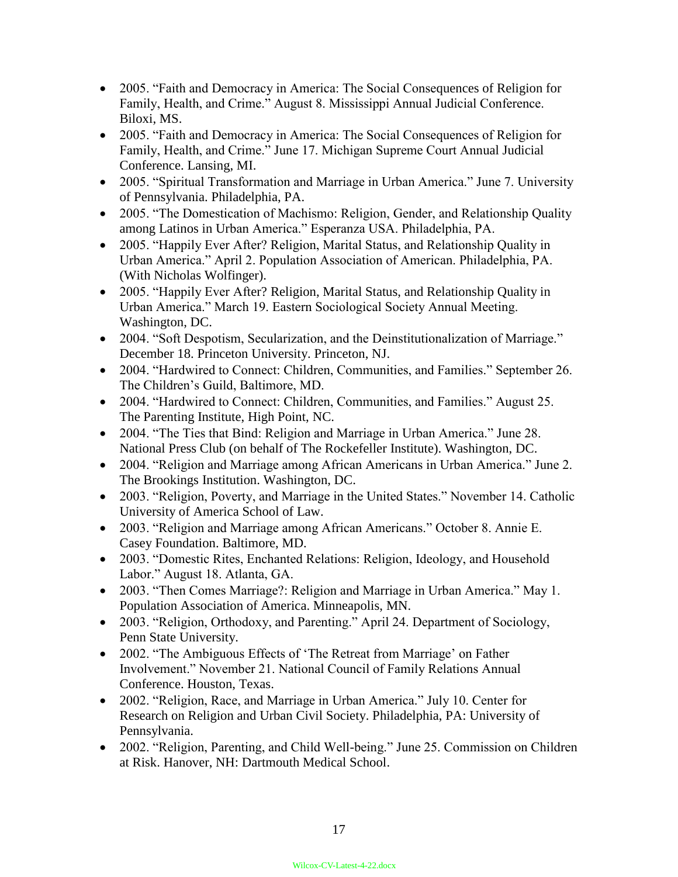- 2005. "Faith and Democracy in America: The Social Consequences of Religion for Family, Health, and Crime." August 8. Mississippi Annual Judicial Conference. Biloxi, MS.
- 2005. "Faith and Democracy in America: The Social Consequences of Religion for Family, Health, and Crime." June 17. Michigan Supreme Court Annual Judicial Conference. Lansing, MI.
- 2005. "Spiritual Transformation and Marriage in Urban America." June 7. University of Pennsylvania. Philadelphia, PA.
- 2005. "The Domestication of Machismo: Religion, Gender, and Relationship Quality among Latinos in Urban America." Esperanza USA. Philadelphia, PA.
- 2005. "Happily Ever After? Religion, Marital Status, and Relationship Quality in Urban America." April 2. Population Association of American. Philadelphia, PA. (With Nicholas Wolfinger).
- 2005. "Happily Ever After? Religion, Marital Status, and Relationship Quality in Urban America." March 19. Eastern Sociological Society Annual Meeting. Washington, DC.
- 2004. "Soft Despotism, Secularization, and the Deinstitutionalization of Marriage." December 18. Princeton University. Princeton, NJ.
- 2004. "Hardwired to Connect: Children, Communities, and Families." September 26. The Children's Guild, Baltimore, MD.
- 2004. "Hardwired to Connect: Children, Communities, and Families." August 25. The Parenting Institute, High Point, NC.
- 2004. "The Ties that Bind: Religion and Marriage in Urban America." June 28. National Press Club (on behalf of The Rockefeller Institute). Washington, DC.
- 2004. "Religion and Marriage among African Americans in Urban America." June 2. The Brookings Institution. Washington, DC.
- 2003. "Religion, Poverty, and Marriage in the United States." November 14. Catholic University of America School of Law.
- 2003. "Religion and Marriage among African Americans." October 8. Annie E. Casey Foundation. Baltimore, MD.
- 2003. "Domestic Rites, Enchanted Relations: Religion, Ideology, and Household Labor." August 18. Atlanta, GA.
- 2003. "Then Comes Marriage?: Religion and Marriage in Urban America." May 1. Population Association of America. Minneapolis, MN.
- 2003. "Religion, Orthodoxy, and Parenting." April 24. Department of Sociology, Penn State University.
- 2002. "The Ambiguous Effects of 'The Retreat from Marriage' on Father Involvement." November 21. National Council of Family Relations Annual Conference. Houston, Texas.
- 2002. "Religion, Race, and Marriage in Urban America." July 10. Center for Research on Religion and Urban Civil Society. Philadelphia, PA: University of Pennsylvania.
- 2002. "Religion, Parenting, and Child Well-being." June 25. Commission on Children at Risk. Hanover, NH: Dartmouth Medical School.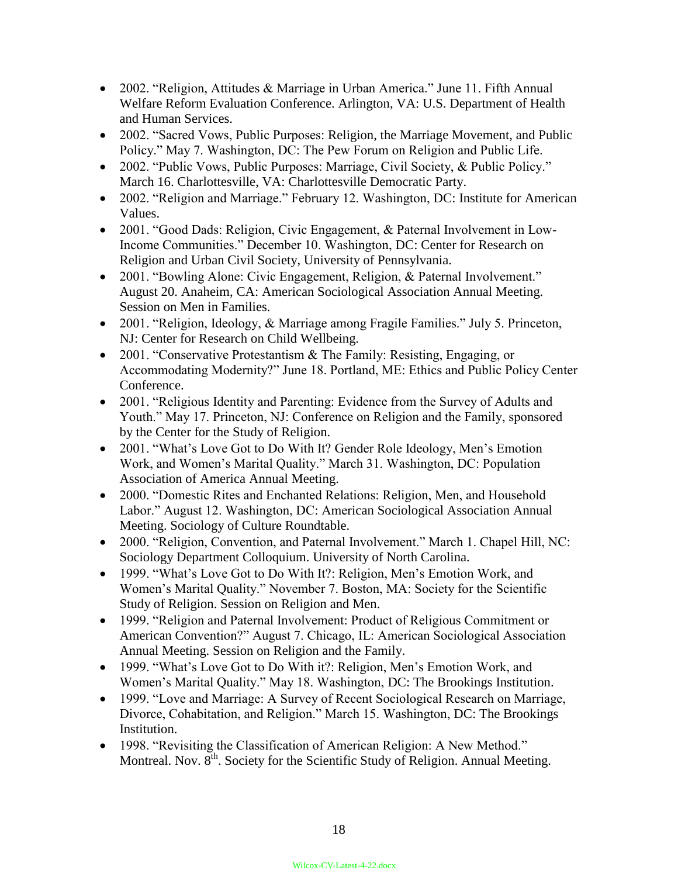- 2002. "Religion, Attitudes & Marriage in Urban America." June 11. Fifth Annual Welfare Reform Evaluation Conference. Arlington, VA: U.S. Department of Health and Human Services.
- 2002. "Sacred Vows, Public Purposes: Religion, the Marriage Movement, and Public Policy." May 7. Washington, DC: The Pew Forum on Religion and Public Life.
- 2002. "Public Vows, Public Purposes: Marriage, Civil Society, & Public Policy." March 16. Charlottesville, VA: Charlottesville Democratic Party.
- 2002. "Religion and Marriage." February 12. Washington, DC: Institute for American Values.
- 2001. "Good Dads: Religion, Civic Engagement, & Paternal Involvement in Low-Income Communities." December 10. Washington, DC: Center for Research on Religion and Urban Civil Society, University of Pennsylvania.
- 2001. "Bowling Alone: Civic Engagement, Religion, & Paternal Involvement." August 20. Anaheim, CA: American Sociological Association Annual Meeting. Session on Men in Families.
- 2001. "Religion, Ideology, & Marriage among Fragile Families." July 5. Princeton, NJ: Center for Research on Child Wellbeing.
- 2001. "Conservative Protestantism & The Family: Resisting, Engaging, or Accommodating Modernity?" June 18. Portland, ME: Ethics and Public Policy Center Conference.
- 2001. "Religious Identity and Parenting: Evidence from the Survey of Adults and Youth." May 17. Princeton, NJ: Conference on Religion and the Family, sponsored by the Center for the Study of Religion.
- 2001. "What's Love Got to Do With It? Gender Role Ideology, Men's Emotion Work, and Women's Marital Quality." March 31. Washington, DC: Population Association of America Annual Meeting.
- 2000. "Domestic Rites and Enchanted Relations: Religion, Men, and Household Labor." August 12. Washington, DC: American Sociological Association Annual Meeting. Sociology of Culture Roundtable.
- 2000. "Religion, Convention, and Paternal Involvement." March 1. Chapel Hill, NC: Sociology Department Colloquium. University of North Carolina.
- 1999. "What's Love Got to Do With It?: Religion, Men's Emotion Work, and Women's Marital Quality." November 7. Boston, MA: Society for the Scientific Study of Religion. Session on Religion and Men.
- 1999. "Religion and Paternal Involvement: Product of Religious Commitment or American Convention?" August 7. Chicago, IL: American Sociological Association Annual Meeting. Session on Religion and the Family.
- 1999. "What's Love Got to Do With it?: Religion, Men's Emotion Work, and Women's Marital Quality." May 18. Washington, DC: The Brookings Institution.
- 1999. "Love and Marriage: A Survey of Recent Sociological Research on Marriage, Divorce, Cohabitation, and Religion." March 15. Washington, DC: The Brookings Institution.
- 1998. "Revisiting the Classification of American Religion: A New Method." Montreal. Nov.  $8<sup>th</sup>$ . Society for the Scientific Study of Religion. Annual Meeting.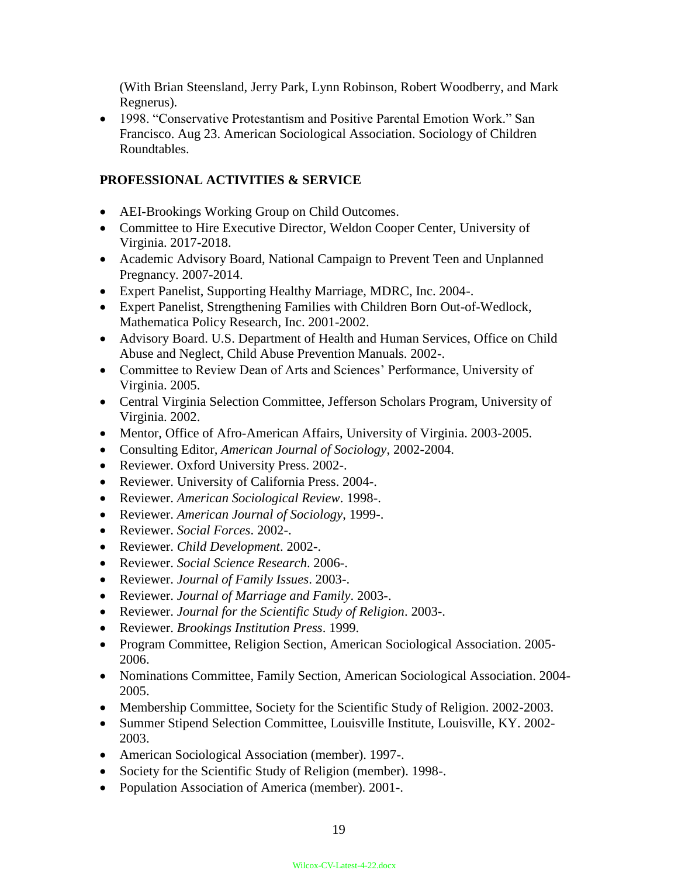(With Brian Steensland, Jerry Park, Lynn Robinson, Robert Woodberry, and Mark Regnerus).

 1998. "Conservative Protestantism and Positive Parental Emotion Work." San Francisco. Aug 23. American Sociological Association. Sociology of Children Roundtables.

## **PROFESSIONAL ACTIVITIES & SERVICE**

- AEI-Brookings Working Group on Child Outcomes.
- Committee to Hire Executive Director, Weldon Cooper Center, University of Virginia. 2017-2018.
- Academic Advisory Board, National Campaign to Prevent Teen and Unplanned Pregnancy. 2007-2014.
- Expert Panelist, Supporting Healthy Marriage, MDRC, Inc. 2004-.
- Expert Panelist, Strengthening Families with Children Born Out-of-Wedlock, Mathematica Policy Research, Inc. 2001-2002.
- Advisory Board. U.S. Department of Health and Human Services, Office on Child Abuse and Neglect, Child Abuse Prevention Manuals. 2002-.
- Committee to Review Dean of Arts and Sciences' Performance, University of Virginia. 2005.
- Central Virginia Selection Committee, Jefferson Scholars Program, University of Virginia. 2002.
- Mentor, Office of Afro-American Affairs, University of Virginia. 2003-2005.
- Consulting Editor*, American Journal of Sociology*, 2002-2004.
- Reviewer. Oxford University Press. 2002-.
- Reviewer. University of California Press. 2004-.
- Reviewer. *American Sociological Review*. 1998-.
- Reviewer. *American Journal of Sociology*, 1999-.
- Reviewer. *Social Forces*. 2002-.
- Reviewer. *Child Development*. 2002-.
- Reviewer. *Social Science Research*. 2006-.
- Reviewer. *Journal of Family Issues*. 2003-.
- Reviewer. *Journal of Marriage and Family*. 2003-.
- Reviewer. *Journal for the Scientific Study of Religion*. 2003-.
- Reviewer. *Brookings Institution Press*. 1999.
- Program Committee, Religion Section, American Sociological Association. 2005- 2006.
- Nominations Committee, Family Section, American Sociological Association. 2004- 2005.
- Membership Committee, Society for the Scientific Study of Religion. 2002-2003.
- Summer Stipend Selection Committee, Louisville Institute, Louisville, KY. 2002- 2003.
- American Sociological Association (member). 1997-.
- Society for the Scientific Study of Religion (member). 1998-.
- Population Association of America (member). 2001-.